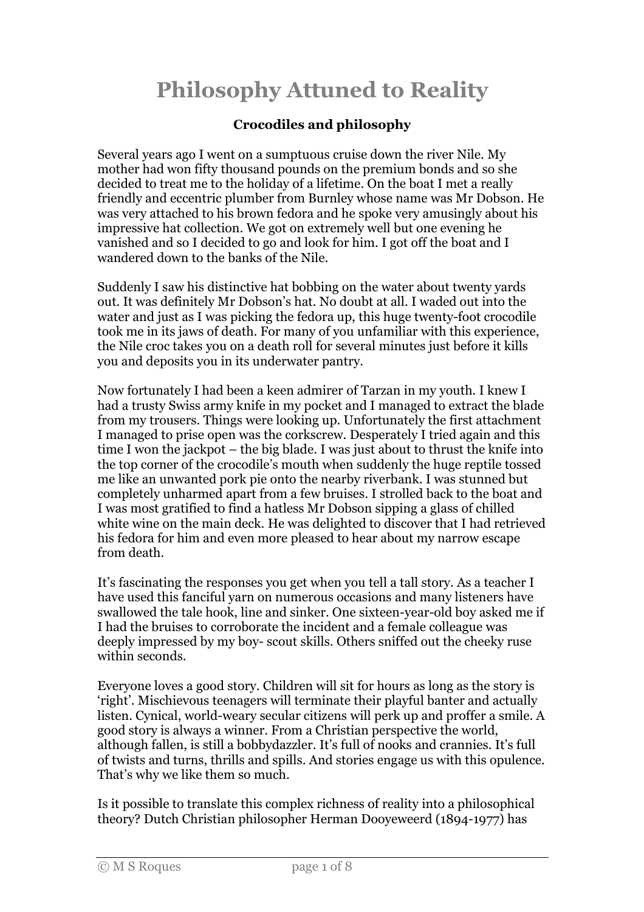## Philosophy Attuned to Reality

## Crocodiles and philosophy

Several years ago I went on a sumptuous cruise down the river Nile. My mother had won fifty thousand pounds on the premium bonds and so she decided to treat me to the holiday of a lifetime. On the boat I met a really friendly and eccentric plumber from Burnley whose name was Mr Dobson. He was very attached to his brown fedora and he spoke very amusingly about his impressive hat collection. We got on extremely well but one evening he vanished and so I decided to go and look for him. I got off the boat and I wandered down to the banks of the Nile.

Suddenly I saw his distinctive hat bobbing on the water about twenty yards out. It was definitely Mr Dobson's hat. No doubt at all. I waded out into the water and just as I was picking the fedora up, this huge twenty-foot crocodile took me in its jaws of death. For many of you unfamiliar with this experience, the Nile croc takes you on a death roll for several minutes just before it kills you and deposits you in its underwater pantry.

Now fortunately I had been a keen admirer of Tarzan in my youth. I knew I had a trusty Swiss army knife in my pocket and I managed to extract the blade from my trousers. Things were looking up. Unfortunately the first attachment I managed to prise open was the corkscrew. Desperately I tried again and this time I won the jackpot – the big blade. I was just about to thrust the knife into the top corner of the crocodile's mouth when suddenly the huge reptile tossed me like an unwanted pork pie onto the nearby riverbank. I was stunned but completely unharmed apart from a few bruises. I strolled back to the boat and I was most gratified to find a hatless Mr Dobson sipping a glass of chilled white wine on the main deck. He was delighted to discover that I had retrieved his fedora for him and even more pleased to hear about my narrow escape from death.

It's fascinating the responses you get when you tell a tall story. As a teacher I have used this fanciful yarn on numerous occasions and many listeners have swallowed the tale hook, line and sinker. One sixteen-year-old boy asked me if I had the bruises to corroborate the incident and a female colleague was deeply impressed by my boy- scout skills. Others sniffed out the cheeky ruse within seconds.

Everyone loves a good story. Children will sit for hours as long as the story is 'right'. Mischievous teenagers will terminate their playful banter and actually listen. Cynical, world-weary secular citizens will perk up and proffer a smile. A good story is always a winner. From a Christian perspective the world, although fallen, is still a bobbydazzler. It's full of nooks and crannies. It's full of twists and turns, thrills and spills. And stories engage us with this opulence. That's why we like them so much.

Is it possible to translate this complex richness of reality into a philosophical theory? Dutch Christian philosopher Herman Dooyeweerd (1894-1977) has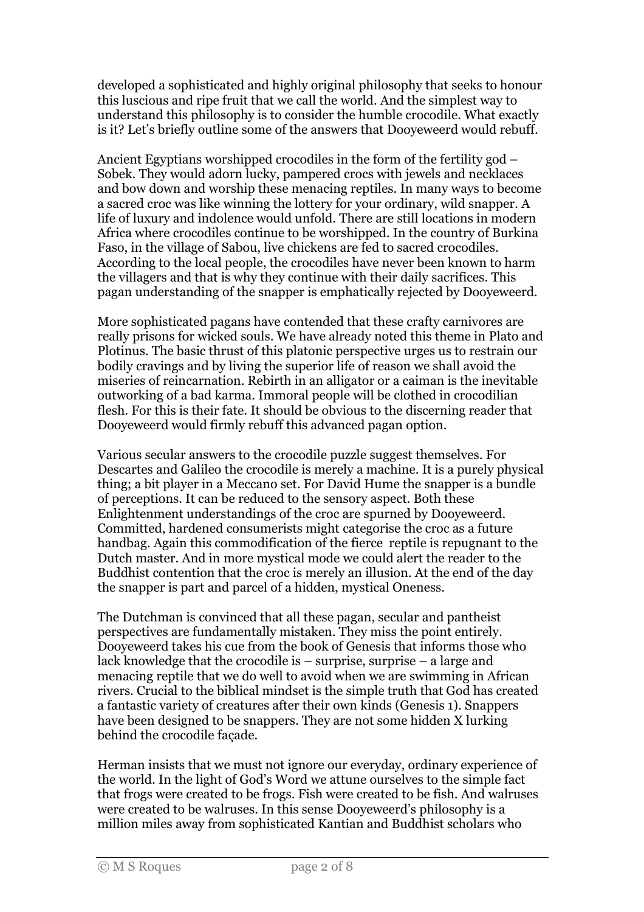developed a sophisticated and highly original philosophy that seeks to honour this luscious and ripe fruit that we call the world. And the simplest way to understand this philosophy is to consider the humble crocodile. What exactly is it? Let's briefly outline some of the answers that Dooyeweerd would rebuff.

Ancient Egyptians worshipped crocodiles in the form of the fertility god – Sobek. They would adorn lucky, pampered crocs with jewels and necklaces and bow down and worship these menacing reptiles. In many ways to become a sacred croc was like winning the lottery for your ordinary, wild snapper. A life of luxury and indolence would unfold. There are still locations in modern Africa where crocodiles continue to be worshipped. In the country of Burkina Faso, in the village of Sabou, live chickens are fed to sacred crocodiles. According to the local people, the crocodiles have never been known to harm the villagers and that is why they continue with their daily sacrifices. This pagan understanding of the snapper is emphatically rejected by Dooyeweerd.

More sophisticated pagans have contended that these crafty carnivores are really prisons for wicked souls. We have already noted this theme in Plato and Plotinus. The basic thrust of this platonic perspective urges us to restrain our bodily cravings and by living the superior life of reason we shall avoid the miseries of reincarnation. Rebirth in an alligator or a caiman is the inevitable outworking of a bad karma. Immoral people will be clothed in crocodilian flesh. For this is their fate. It should be obvious to the discerning reader that Dooyeweerd would firmly rebuff this advanced pagan option.

Various secular answers to the crocodile puzzle suggest themselves. For Descartes and Galileo the crocodile is merely a machine. It is a purely physical thing; a bit player in a Meccano set. For David Hume the snapper is a bundle of perceptions. It can be reduced to the sensory aspect. Both these Enlightenment understandings of the croc are spurned by Dooyeweerd. Committed, hardened consumerists might categorise the croc as a future handbag. Again this commodification of the fierce reptile is repugnant to the Dutch master. And in more mystical mode we could alert the reader to the Buddhist contention that the croc is merely an illusion. At the end of the day the snapper is part and parcel of a hidden, mystical Oneness.

The Dutchman is convinced that all these pagan, secular and pantheist perspectives are fundamentally mistaken. They miss the point entirely. Dooyeweerd takes his cue from the book of Genesis that informs those who lack knowledge that the crocodile is – surprise, surprise – a large and menacing reptile that we do well to avoid when we are swimming in African rivers. Crucial to the biblical mindset is the simple truth that God has created a fantastic variety of creatures after their own kinds (Genesis 1). Snappers have been designed to be snappers. They are not some hidden X lurking behind the crocodile façade.

Herman insists that we must not ignore our everyday, ordinary experience of the world. In the light of God's Word we attune ourselves to the simple fact that frogs were created to be frogs. Fish were created to be fish. And walruses were created to be walruses. In this sense Dooyeweerd's philosophy is a million miles away from sophisticated Kantian and Buddhist scholars who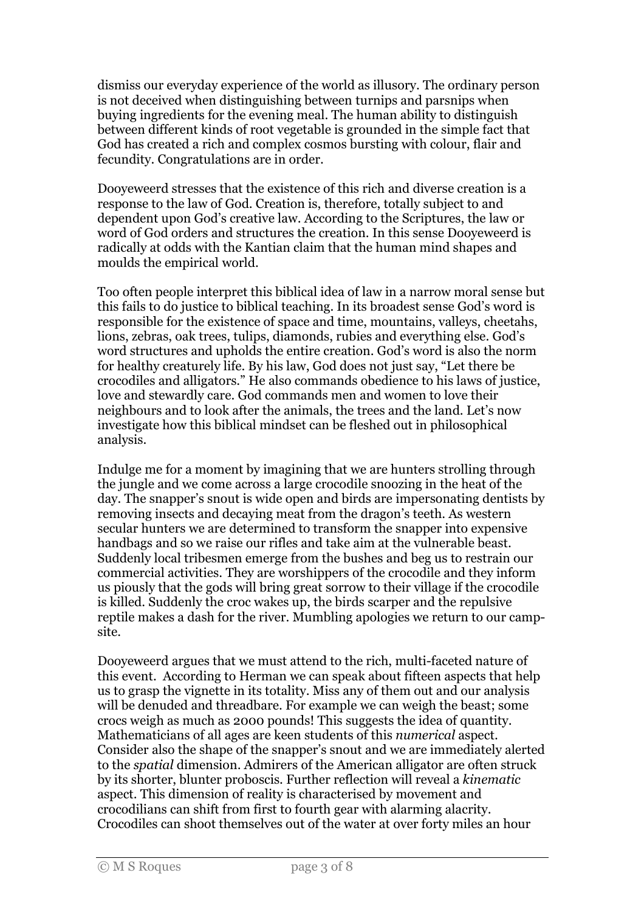dismiss our everyday experience of the world as illusory. The ordinary person is not deceived when distinguishing between turnips and parsnips when buying ingredients for the evening meal. The human ability to distinguish between different kinds of root vegetable is grounded in the simple fact that God has created a rich and complex cosmos bursting with colour, flair and fecundity. Congratulations are in order.

Dooyeweerd stresses that the existence of this rich and diverse creation is a response to the law of God. Creation is, therefore, totally subject to and dependent upon God's creative law. According to the Scriptures, the law or word of God orders and structures the creation. In this sense Dooyeweerd is radically at odds with the Kantian claim that the human mind shapes and moulds the empirical world.

Too often people interpret this biblical idea of law in a narrow moral sense but this fails to do justice to biblical teaching. In its broadest sense God's word is responsible for the existence of space and time, mountains, valleys, cheetahs, lions, zebras, oak trees, tulips, diamonds, rubies and everything else. God's word structures and upholds the entire creation. God's word is also the norm for healthy creaturely life. By his law, God does not just say, "Let there be crocodiles and alligators." He also commands obedience to his laws of justice, love and stewardly care. God commands men and women to love their neighbours and to look after the animals, the trees and the land. Let's now investigate how this biblical mindset can be fleshed out in philosophical analysis.

Indulge me for a moment by imagining that we are hunters strolling through the jungle and we come across a large crocodile snoozing in the heat of the day. The snapper's snout is wide open and birds are impersonating dentists by removing insects and decaying meat from the dragon's teeth. As western secular hunters we are determined to transform the snapper into expensive handbags and so we raise our rifles and take aim at the vulnerable beast. Suddenly local tribesmen emerge from the bushes and beg us to restrain our commercial activities. They are worshippers of the crocodile and they inform us piously that the gods will bring great sorrow to their village if the crocodile is killed. Suddenly the croc wakes up, the birds scarper and the repulsive reptile makes a dash for the river. Mumbling apologies we return to our campsite.

Dooyeweerd argues that we must attend to the rich, multi-faceted nature of this event. According to Herman we can speak about fifteen aspects that help us to grasp the vignette in its totality. Miss any of them out and our analysis will be denuded and threadbare. For example we can weigh the beast; some crocs weigh as much as 2000 pounds! This suggests the idea of quantity. Mathematicians of all ages are keen students of this numerical aspect. Consider also the shape of the snapper's snout and we are immediately alerted to the spatial dimension. Admirers of the American alligator are often struck by its shorter, blunter proboscis. Further reflection will reveal a kinematic aspect. This dimension of reality is characterised by movement and crocodilians can shift from first to fourth gear with alarming alacrity. Crocodiles can shoot themselves out of the water at over forty miles an hour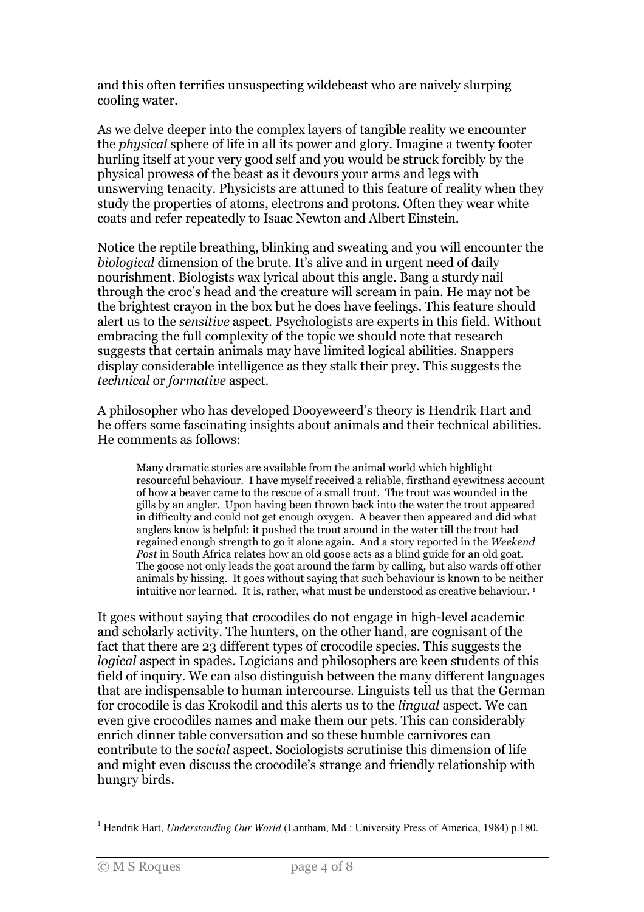and this often terrifies unsuspecting wildebeast who are naively slurping cooling water.

As we delve deeper into the complex layers of tangible reality we encounter the physical sphere of life in all its power and glory. Imagine a twenty footer hurling itself at your very good self and you would be struck forcibly by the physical prowess of the beast as it devours your arms and legs with unswerving tenacity. Physicists are attuned to this feature of reality when they study the properties of atoms, electrons and protons. Often they wear white coats and refer repeatedly to Isaac Newton and Albert Einstein.

Notice the reptile breathing, blinking and sweating and you will encounter the biological dimension of the brute. It's alive and in urgent need of daily nourishment. Biologists wax lyrical about this angle. Bang a sturdy nail through the croc's head and the creature will scream in pain. He may not be the brightest crayon in the box but he does have feelings. This feature should alert us to the sensitive aspect. Psychologists are experts in this field. Without embracing the full complexity of the topic we should note that research suggests that certain animals may have limited logical abilities. Snappers display considerable intelligence as they stalk their prey. This suggests the technical or formative aspect.

A philosopher who has developed Dooyeweerd's theory is Hendrik Hart and he offers some fascinating insights about animals and their technical abilities. He comments as follows:

Many dramatic stories are available from the animal world which highlight resourceful behaviour. I have myself received a reliable, firsthand eyewitness account of how a beaver came to the rescue of a small trout. The trout was wounded in the gills by an angler. Upon having been thrown back into the water the trout appeared in difficulty and could not get enough oxygen. A beaver then appeared and did what anglers know is helpful: it pushed the trout around in the water till the trout had regained enough strength to go it alone again. And a story reported in the Weekend Post in South Africa relates how an old goose acts as a blind guide for an old goat. The goose not only leads the goat around the farm by calling, but also wards off other animals by hissing. It goes without saying that such behaviour is known to be neither intuitive nor learned. It is, rather, what must be understood as creative behaviour.<sup>1</sup>

It goes without saying that crocodiles do not engage in high-level academic and scholarly activity. The hunters, on the other hand, are cognisant of the fact that there are 23 different types of crocodile species. This suggests the logical aspect in spades. Logicians and philosophers are keen students of this field of inquiry. We can also distinguish between the many different languages that are indispensable to human intercourse. Linguists tell us that the German for crocodile is das Krokodil and this alerts us to the lingual aspect. We can even give crocodiles names and make them our pets. This can considerably enrich dinner table conversation and so these humble carnivores can contribute to the social aspect. Sociologists scrutinise this dimension of life and might even discuss the crocodile's strange and friendly relationship with hungry birds.

 $\overline{a}$ <sup>1</sup> Hendrik Hart, *Understanding Our World* (Lantham, Md.: University Press of America, 1984) p.180.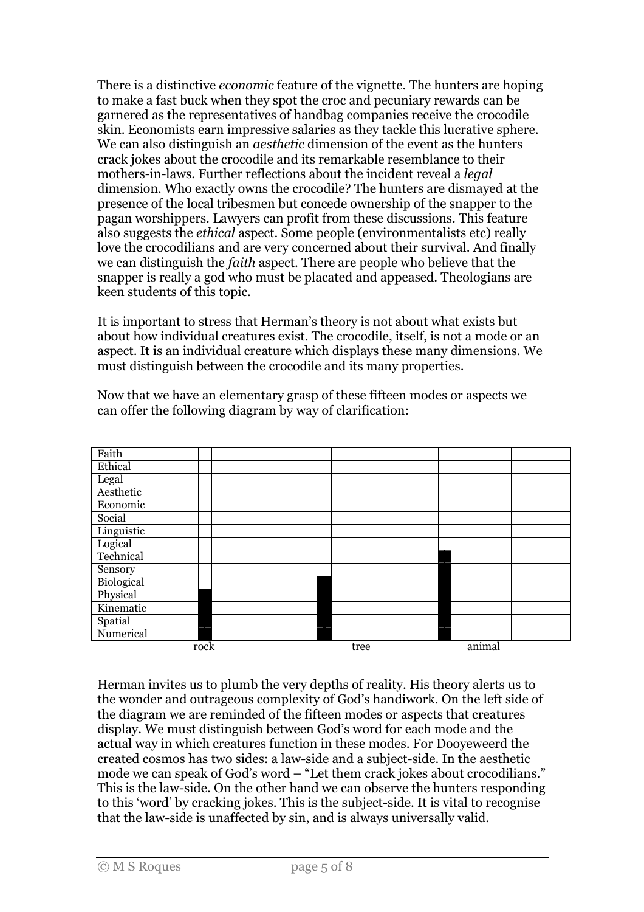There is a distinctive economic feature of the vignette. The hunters are hoping to make a fast buck when they spot the croc and pecuniary rewards can be garnered as the representatives of handbag companies receive the crocodile skin. Economists earn impressive salaries as they tackle this lucrative sphere. We can also distinguish an *aesthetic* dimension of the event as the hunters crack jokes about the crocodile and its remarkable resemblance to their mothers-in-laws. Further reflections about the incident reveal a legal dimension. Who exactly owns the crocodile? The hunters are dismayed at the presence of the local tribesmen but concede ownership of the snapper to the pagan worshippers. Lawyers can profit from these discussions. This feature also suggests the ethical aspect. Some people (environmentalists etc) really love the crocodilians and are very concerned about their survival. And finally we can distinguish the faith aspect. There are people who believe that the snapper is really a god who must be placated and appeased. Theologians are keen students of this topic.

It is important to stress that Herman's theory is not about what exists but about how individual creatures exist. The crocodile, itself, is not a mode or an aspect. It is an individual creature which displays these many dimensions. We must distinguish between the crocodile and its many properties.



Now that we have an elementary grasp of these fifteen modes or aspects we can offer the following diagram by way of clarification:

Herman invites us to plumb the very depths of reality. His theory alerts us to the wonder and outrageous complexity of God's handiwork. On the left side of the diagram we are reminded of the fifteen modes or aspects that creatures display. We must distinguish between God's word for each mode and the actual way in which creatures function in these modes. For Dooyeweerd the created cosmos has two sides: a law-side and a subject-side. In the aesthetic mode we can speak of God's word – "Let them crack jokes about crocodilians." This is the law-side. On the other hand we can observe the hunters responding to this 'word' by cracking jokes. This is the subject-side. It is vital to recognise that the law-side is unaffected by sin, and is always universally valid.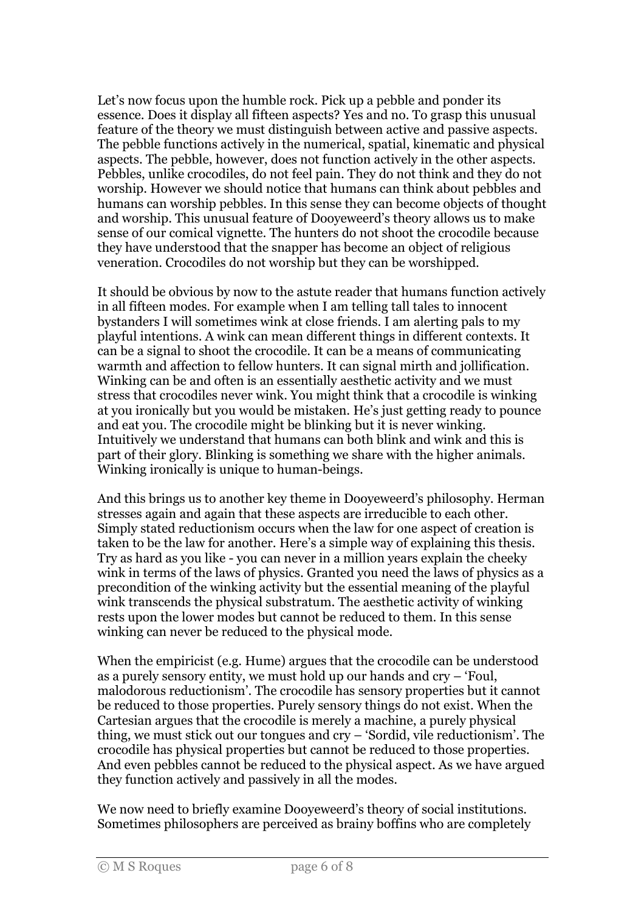Let's now focus upon the humble rock. Pick up a pebble and ponder its essence. Does it display all fifteen aspects? Yes and no. To grasp this unusual feature of the theory we must distinguish between active and passive aspects. The pebble functions actively in the numerical, spatial, kinematic and physical aspects. The pebble, however, does not function actively in the other aspects. Pebbles, unlike crocodiles, do not feel pain. They do not think and they do not worship. However we should notice that humans can think about pebbles and humans can worship pebbles. In this sense they can become objects of thought and worship. This unusual feature of Dooyeweerd's theory allows us to make sense of our comical vignette. The hunters do not shoot the crocodile because they have understood that the snapper has become an object of religious veneration. Crocodiles do not worship but they can be worshipped.

It should be obvious by now to the astute reader that humans function actively in all fifteen modes. For example when I am telling tall tales to innocent bystanders I will sometimes wink at close friends. I am alerting pals to my playful intentions. A wink can mean different things in different contexts. It can be a signal to shoot the crocodile. It can be a means of communicating warmth and affection to fellow hunters. It can signal mirth and jollification. Winking can be and often is an essentially aesthetic activity and we must stress that crocodiles never wink. You might think that a crocodile is winking at you ironically but you would be mistaken. He's just getting ready to pounce and eat you. The crocodile might be blinking but it is never winking. Intuitively we understand that humans can both blink and wink and this is part of their glory. Blinking is something we share with the higher animals. Winking ironically is unique to human-beings.

And this brings us to another key theme in Dooyeweerd's philosophy. Herman stresses again and again that these aspects are irreducible to each other. Simply stated reductionism occurs when the law for one aspect of creation is taken to be the law for another. Here's a simple way of explaining this thesis. Try as hard as you like - you can never in a million years explain the cheeky wink in terms of the laws of physics. Granted you need the laws of physics as a precondition of the winking activity but the essential meaning of the playful wink transcends the physical substratum. The aesthetic activity of winking rests upon the lower modes but cannot be reduced to them. In this sense winking can never be reduced to the physical mode.

When the empiricist (e.g. Hume) argues that the crocodile can be understood as a purely sensory entity, we must hold up our hands and cry – 'Foul, malodorous reductionism'. The crocodile has sensory properties but it cannot be reduced to those properties. Purely sensory things do not exist. When the Cartesian argues that the crocodile is merely a machine, a purely physical thing, we must stick out our tongues and cry – 'Sordid, vile reductionism'. The crocodile has physical properties but cannot be reduced to those properties. And even pebbles cannot be reduced to the physical aspect. As we have argued they function actively and passively in all the modes.

We now need to briefly examine Dooyeweerd's theory of social institutions. Sometimes philosophers are perceived as brainy boffins who are completely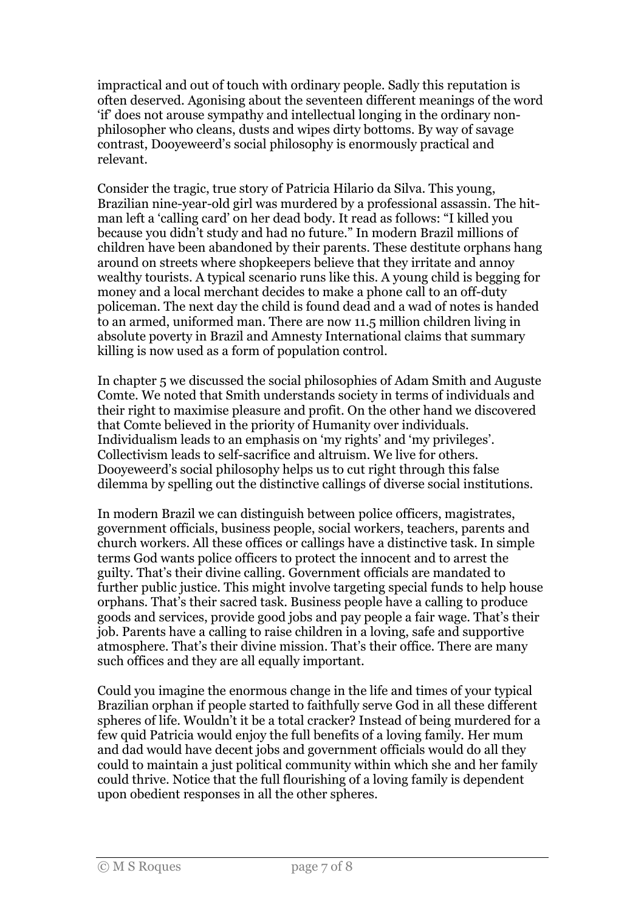impractical and out of touch with ordinary people. Sadly this reputation is often deserved. Agonising about the seventeen different meanings of the word 'if' does not arouse sympathy and intellectual longing in the ordinary nonphilosopher who cleans, dusts and wipes dirty bottoms. By way of savage contrast, Dooyeweerd's social philosophy is enormously practical and relevant.

Consider the tragic, true story of Patricia Hilario da Silva. This young, Brazilian nine-year-old girl was murdered by a professional assassin. The hitman left a 'calling card' on her dead body. It read as follows: "I killed you because you didn't study and had no future." In modern Brazil millions of children have been abandoned by their parents. These destitute orphans hang around on streets where shopkeepers believe that they irritate and annoy wealthy tourists. A typical scenario runs like this. A young child is begging for money and a local merchant decides to make a phone call to an off-duty policeman. The next day the child is found dead and a wad of notes is handed to an armed, uniformed man. There are now 11.5 million children living in absolute poverty in Brazil and Amnesty International claims that summary killing is now used as a form of population control.

In chapter 5 we discussed the social philosophies of Adam Smith and Auguste Comte. We noted that Smith understands society in terms of individuals and their right to maximise pleasure and profit. On the other hand we discovered that Comte believed in the priority of Humanity over individuals. Individualism leads to an emphasis on 'my rights' and 'my privileges'. Collectivism leads to self-sacrifice and altruism. We live for others. Dooyeweerd's social philosophy helps us to cut right through this false dilemma by spelling out the distinctive callings of diverse social institutions.

In modern Brazil we can distinguish between police officers, magistrates, government officials, business people, social workers, teachers, parents and church workers. All these offices or callings have a distinctive task. In simple terms God wants police officers to protect the innocent and to arrest the guilty. That's their divine calling. Government officials are mandated to further public justice. This might involve targeting special funds to help house orphans. That's their sacred task. Business people have a calling to produce goods and services, provide good jobs and pay people a fair wage. That's their job. Parents have a calling to raise children in a loving, safe and supportive atmosphere. That's their divine mission. That's their office. There are many such offices and they are all equally important.

Could you imagine the enormous change in the life and times of your typical Brazilian orphan if people started to faithfully serve God in all these different spheres of life. Wouldn't it be a total cracker? Instead of being murdered for a few quid Patricia would enjoy the full benefits of a loving family. Her mum and dad would have decent jobs and government officials would do all they could to maintain a just political community within which she and her family could thrive. Notice that the full flourishing of a loving family is dependent upon obedient responses in all the other spheres.